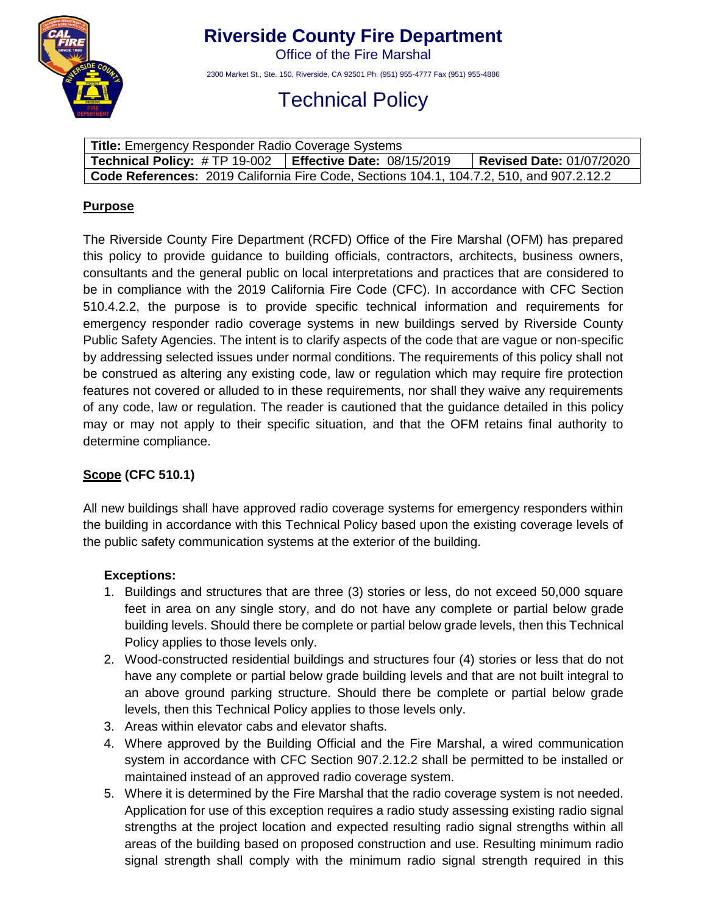

# **Riverside County Fire Department**

Office of the Fire Marshal

2300 Market St., Ste. 150, Riverside, CA 92501 Ph. (951) 955-4777 Fax (951) 955-4886

# Technical Policy

| Title: Emergency Responder Radio Coverage Systems                                               |                                   |                                 |
|-------------------------------------------------------------------------------------------------|-----------------------------------|---------------------------------|
| <b>Technical Policy: #TP 19-002</b>                                                             | <b>Effective Date: 08/15/2019</b> | <b>Revised Date: 01/07/2020</b> |
| <b>Code References:</b> 2019 California Fire Code, Sections 104.1, 104.7.2, 510, and 907.2.12.2 |                                   |                                 |

#### **Purpose**

The Riverside County Fire Department (RCFD) Office of the Fire Marshal (OFM) has prepared this policy to provide guidance to building officials, contractors, architects, business owners, consultants and the general public on local interpretations and practices that are considered to be in compliance with the 2019 California Fire Code (CFC). In accordance with CFC Section 510.4.2.2, the purpose is to provide specific technical information and requirements for emergency responder radio coverage systems in new buildings served by Riverside County Public Safety Agencies. The intent is to clarify aspects of the code that are vague or non-specific by addressing selected issues under normal conditions. The requirements of this policy shall not be construed as altering any existing code, law or regulation which may require fire protection features not covered or alluded to in these requirements, nor shall they waive any requirements of any code, law or regulation. The reader is cautioned that the guidance detailed in this policy may or may not apply to their specific situation, and that the OFM retains final authority to determine compliance.

## **Scope (CFC 510.1)**

All new buildings shall have approved radio coverage systems for emergency responders within the building in accordance with this Technical Policy based upon the existing coverage levels of the public safety communication systems at the exterior of the building.

#### **Exceptions:**

- 1. Buildings and structures that are three (3) stories or less, do not exceed 50,000 square feet in area on any single story, and do not have any complete or partial below grade building levels. Should there be complete or partial below grade levels, then this Technical Policy applies to those levels only.
- 2. Wood-constructed residential buildings and structures four (4) stories or less that do not have any complete or partial below grade building levels and that are not built integral to an above ground parking structure. Should there be complete or partial below grade levels, then this Technical Policy applies to those levels only.
- 3. Areas within elevator cabs and elevator shafts.
- 4. Where approved by the Building Official and the Fire Marshal, a wired communication system in accordance with CFC Section 907.2.12.2 shall be permitted to be installed or maintained instead of an approved radio coverage system.
- 5. Where it is determined by the Fire Marshal that the radio coverage system is not needed. Application for use of this exception requires a radio study assessing existing radio signal strengths at the project location and expected resulting radio signal strengths within all areas of the building based on proposed construction and use. Resulting minimum radio signal strength shall comply with the minimum radio signal strength required in this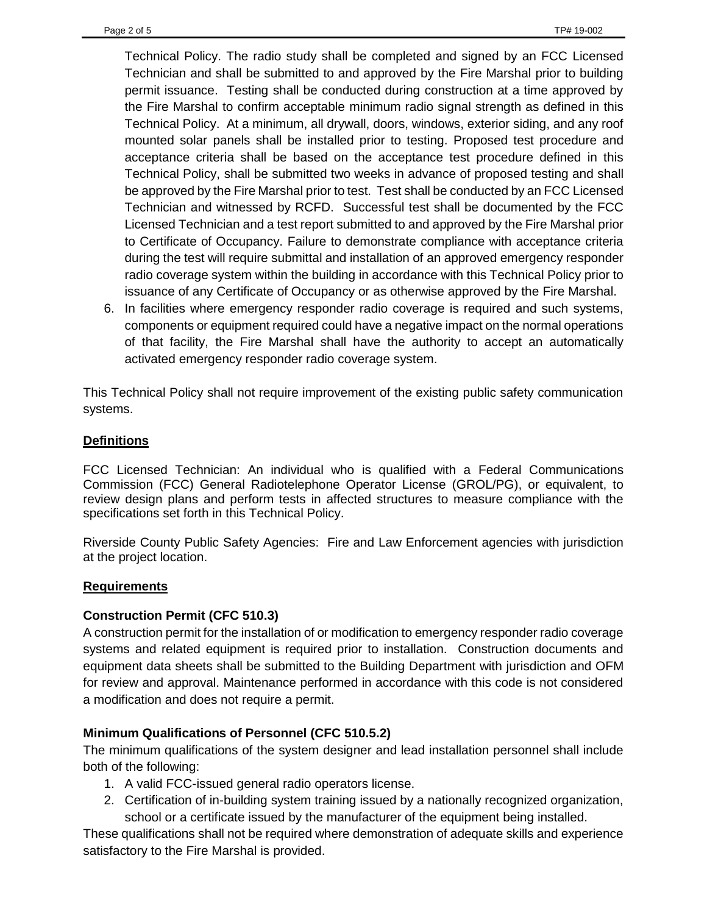Technical Policy. The radio study shall be completed and signed by an FCC Licensed Technician and shall be submitted to and approved by the Fire Marshal prior to building permit issuance. Testing shall be conducted during construction at a time approved by the Fire Marshal to confirm acceptable minimum radio signal strength as defined in this Technical Policy. At a minimum, all drywall, doors, windows, exterior siding, and any roof mounted solar panels shall be installed prior to testing. Proposed test procedure and acceptance criteria shall be based on the acceptance test procedure defined in this Technical Policy, shall be submitted two weeks in advance of proposed testing and shall be approved by the Fire Marshal prior to test. Test shall be conducted by an FCC Licensed Technician and witnessed by RCFD. Successful test shall be documented by the FCC Licensed Technician and a test report submitted to and approved by the Fire Marshal prior to Certificate of Occupancy. Failure to demonstrate compliance with acceptance criteria during the test will require submittal and installation of an approved emergency responder radio coverage system within the building in accordance with this Technical Policy prior to issuance of any Certificate of Occupancy or as otherwise approved by the Fire Marshal.

6. In facilities where emergency responder radio coverage is required and such systems, components or equipment required could have a negative impact on the normal operations of that facility, the Fire Marshal shall have the authority to accept an automatically activated emergency responder radio coverage system.

This Technical Policy shall not require improvement of the existing public safety communication systems.

### **Definitions**

FCC Licensed Technician: An individual who is qualified with a Federal Communications Commission (FCC) General Radiotelephone Operator License (GROL/PG), or equivalent, to review design plans and perform tests in affected structures to measure compliance with the specifications set forth in this Technical Policy.

Riverside County Public Safety Agencies: Fire and Law Enforcement agencies with jurisdiction at the project location.

#### **Requirements**

#### **Construction Permit (CFC 510.3)**

A construction permit for the installation of or modification to emergency responder radio coverage systems and related equipment is required prior to installation. Construction documents and equipment data sheets shall be submitted to the Building Department with jurisdiction and OFM for review and approval. Maintenance performed in accordance with this code is not considered a modification and does not require a permit.

#### **Minimum Qualifications of Personnel (CFC 510.5.2)**

The minimum qualifications of the system designer and lead installation personnel shall include both of the following:

- 1. A valid FCC-issued general radio operators license.
- 2. Certification of in-building system training issued by a nationally recognized organization, school or a certificate issued by the manufacturer of the equipment being installed.

These qualifications shall not be required where demonstration of adequate skills and experience satisfactory to the Fire Marshal is provided.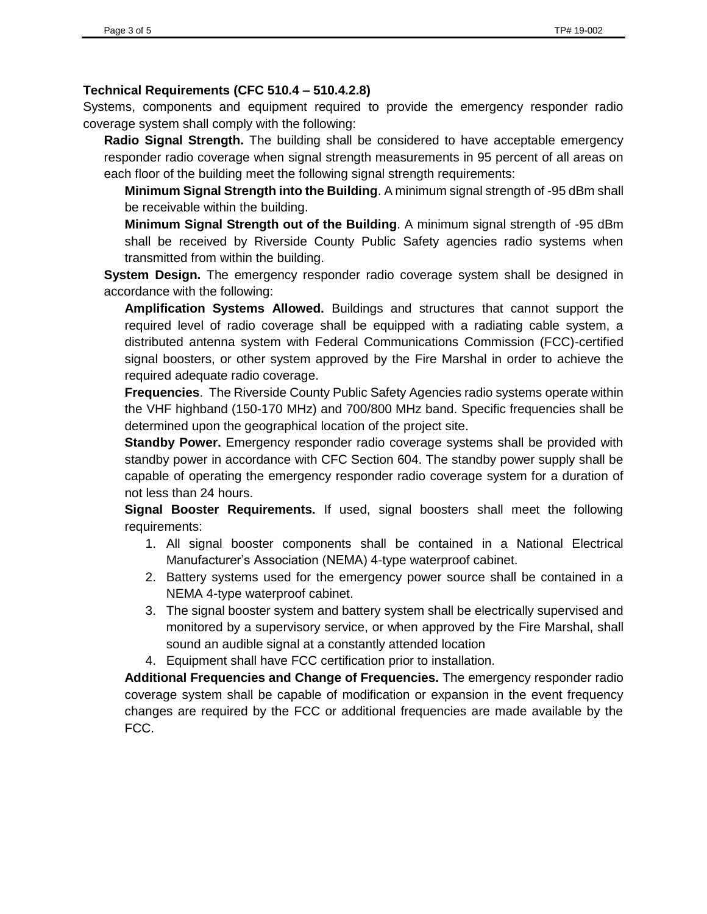#### **Technical Requirements (CFC 510.4 – 510.4.2.8)**

Systems, components and equipment required to provide the emergency responder radio coverage system shall comply with the following:

**Radio Signal Strength.** The building shall be considered to have acceptable emergency responder radio coverage when signal strength measurements in 95 percent of all areas on each floor of the building meet the following signal strength requirements:

**Minimum Signal Strength into the Building**. A minimum signal strength of -95 dBm shall be receivable within the building.

**Minimum Signal Strength out of the Building**. A minimum signal strength of -95 dBm shall be received by Riverside County Public Safety agencies radio systems when transmitted from within the building.

**System Design.** The emergency responder radio coverage system shall be designed in accordance with the following:

**Amplification Systems Allowed.** Buildings and structures that cannot support the required level of radio coverage shall be equipped with a radiating cable system, a distributed antenna system with Federal Communications Commission (FCC)-certified signal boosters, or other system approved by the Fire Marshal in order to achieve the required adequate radio coverage.

**Frequencies**. The Riverside County Public Safety Agencies radio systems operate within the VHF highband (150-170 MHz) and 700/800 MHz band. Specific frequencies shall be determined upon the geographical location of the project site.

**Standby Power.** Emergency responder radio coverage systems shall be provided with standby power in accordance with CFC Section 604. The standby power supply shall be capable of operating the emergency responder radio coverage system for a duration of not less than 24 hours.

**Signal Booster Requirements.** If used, signal boosters shall meet the following requirements:

- 1. All signal booster components shall be contained in a National Electrical Manufacturer's Association (NEMA) 4-type waterproof cabinet.
- 2. Battery systems used for the emergency power source shall be contained in a NEMA 4-type waterproof cabinet.
- 3. The signal booster system and battery system shall be electrically supervised and monitored by a supervisory service, or when approved by the Fire Marshal, shall sound an audible signal at a constantly attended location
- 4. Equipment shall have FCC certification prior to installation.

**Additional Frequencies and Change of Frequencies.** The emergency responder radio coverage system shall be capable of modification or expansion in the event frequency changes are required by the FCC or additional frequencies are made available by the FCC.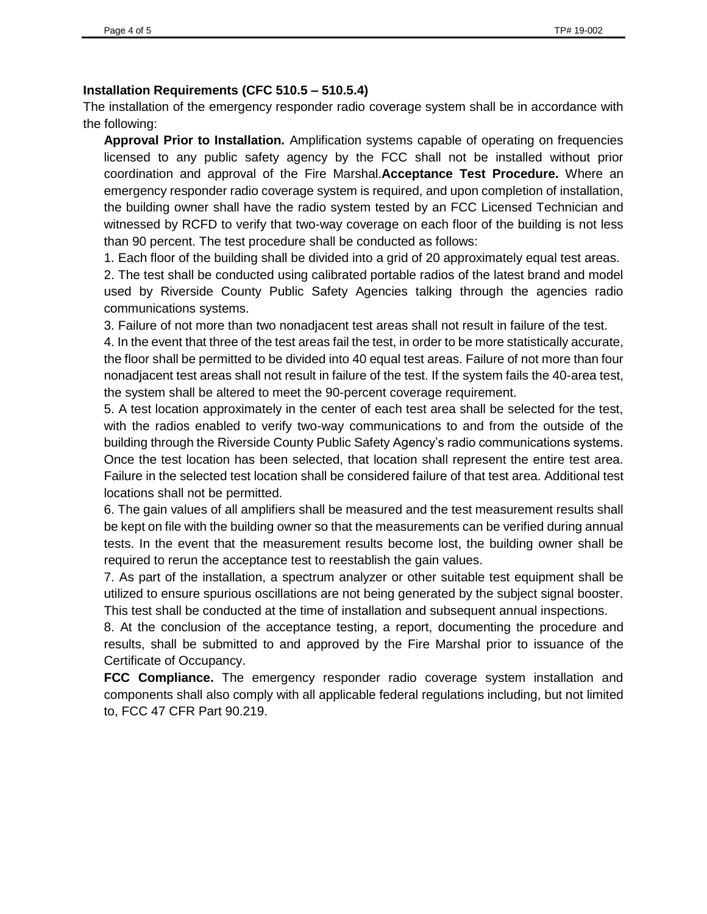#### **Installation Requirements (CFC 510.5 – 510.5.4)**

The installation of the emergency responder radio coverage system shall be in accordance with the following:

**Approval Prior to Installation.** Amplification systems capable of operating on frequencies licensed to any public safety agency by the FCC shall not be installed without prior coordination and approval of the Fire Marshal.**Acceptance Test Procedure.** Where an emergency responder radio coverage system is required, and upon completion of installation, the building owner shall have the radio system tested by an FCC Licensed Technician and witnessed by RCFD to verify that two-way coverage on each floor of the building is not less than 90 percent. The test procedure shall be conducted as follows:

1. Each floor of the building shall be divided into a grid of 20 approximately equal test areas.

2. The test shall be conducted using calibrated portable radios of the latest brand and model used by Riverside County Public Safety Agencies talking through the agencies radio communications systems.

3. Failure of not more than two nonadjacent test areas shall not result in failure of the test.

4. In the event that three of the test areas fail the test, in order to be more statistically accurate, the floor shall be permitted to be divided into 40 equal test areas. Failure of not more than four nonadjacent test areas shall not result in failure of the test. If the system fails the 40-area test, the system shall be altered to meet the 90-percent coverage requirement.

5. A test location approximately in the center of each test area shall be selected for the test, with the radios enabled to verify two-way communications to and from the outside of the building through the Riverside County Public Safety Agency's radio communications systems. Once the test location has been selected, that location shall represent the entire test area. Failure in the selected test location shall be considered failure of that test area. Additional test locations shall not be permitted.

6. The gain values of all amplifiers shall be measured and the test measurement results shall be kept on file with the building owner so that the measurements can be verified during annual tests. In the event that the measurement results become lost, the building owner shall be required to rerun the acceptance test to reestablish the gain values.

7. As part of the installation, a spectrum analyzer or other suitable test equipment shall be utilized to ensure spurious oscillations are not being generated by the subject signal booster. This test shall be conducted at the time of installation and subsequent annual inspections.

8. At the conclusion of the acceptance testing, a report, documenting the procedure and results, shall be submitted to and approved by the Fire Marshal prior to issuance of the Certificate of Occupancy.

**FCC Compliance.** The emergency responder radio coverage system installation and components shall also comply with all applicable federal regulations including, but not limited to, FCC 47 CFR Part 90.219.